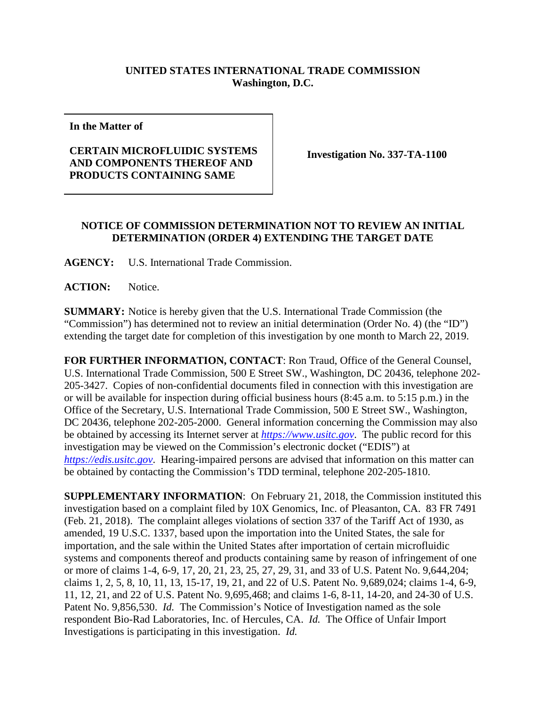## **UNITED STATES INTERNATIONAL TRADE COMMISSION Washington, D.C.**

**In the Matter of**

## **CERTAIN MICROFLUIDIC SYSTEMS AND COMPONENTS THEREOF AND PRODUCTS CONTAINING SAME**

**Investigation No. 337-TA-1100**

## **NOTICE OF COMMISSION DETERMINATION NOT TO REVIEW AN INITIAL DETERMINATION (ORDER 4) EXTENDING THE TARGET DATE**

**AGENCY:** U.S. International Trade Commission.

**ACTION:** Notice.

**SUMMARY:** Notice is hereby given that the U.S. International Trade Commission (the "Commission") has determined not to review an initial determination (Order No. 4) (the "ID") extending the target date for completion of this investigation by one month to March 22, 2019.

**FOR FURTHER INFORMATION, CONTACT**: Ron Traud, Office of the General Counsel, U.S. International Trade Commission, 500 E Street SW., Washington, DC 20436, telephone 202- 205-3427. Copies of non-confidential documents filed in connection with this investigation are or will be available for inspection during official business hours (8:45 a.m. to 5:15 p.m.) in the Office of the Secretary, U.S. International Trade Commission, 500 E Street SW., Washington, DC 20436, telephone 202-205-2000. General information concerning the Commission may also be obtained by accessing its Internet server at *[https://www.usitc.gov](https://www.usitc.gov/)*. The public record for this investigation may be viewed on the Commission's electronic docket ("EDIS") at *[https://edis.usitc.gov](https://edis.usitc.gov/)*. Hearing-impaired persons are advised that information on this matter can be obtained by contacting the Commission's TDD terminal, telephone 202-205-1810.

**SUPPLEMENTARY INFORMATION**: On February 21, 2018, the Commission instituted this investigation based on a complaint filed by 10X Genomics, Inc. of Pleasanton, CA. 83 FR 7491 (Feb. 21, 2018). The complaint alleges violations of section 337 of the Tariff Act of 1930, as amended, 19 U.S.C. 1337, based upon the importation into the United States, the sale for importation, and the sale within the United States after importation of certain microfluidic systems and components thereof and products containing same by reason of infringement of one or more of claims 1-4, 6-9, 17, 20, 21, 23, 25, 27, 29, 31, and 33 of U.S. Patent No. 9,644,204; claims 1, 2, 5, 8, 10, 11, 13, 15-17, 19, 21, and 22 of U.S. Patent No. 9,689,024; claims 1-4, 6-9, 11, 12, 21, and 22 of U.S. Patent No. 9,695,468; and claims 1-6, 8-11, 14-20, and 24-30 of U.S. Patent No. 9,856,530. *Id.* The Commission's Notice of Investigation named as the sole respondent Bio-Rad Laboratories, Inc. of Hercules, CA. *Id.* The Office of Unfair Import Investigations is participating in this investigation. *Id.*